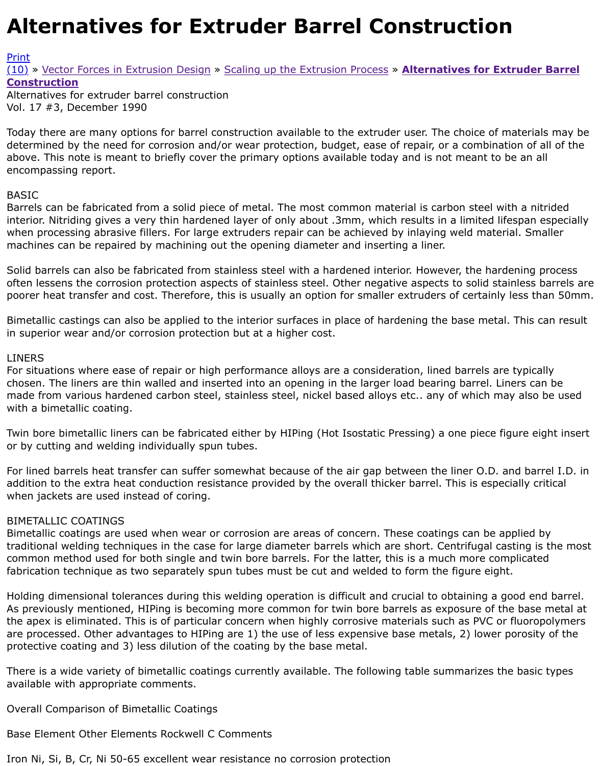## Vol. 17 #3, December 1990

Today there are many options for barrel construction available to the extruder user. The choice of m determined by the need for corrosion and/or wear protection, budget, ease of repair, or a combinati [abov](http://extrusionwiki.com/wiki/Print.aspx?Page=CC-V17-3-B)e. This note is meant to briefly cover the primary options available today and is not meant to b [enc](http://extrusionwiki.com/wiki/CC-V17-3-B.ashx#)[omp](http://extrusionwiki.com/wiki/CC-V17-3-B.ashx)[assing report.](http://extrusionwiki.com/wiki/CC-V17-2-D.ashx)

## BASIC

Barrels can be fabricated from a solid piece of metal. The most common material is carbon steel wit interior. Nitriding gives a very thin hardened layer of only about .3mm, which results in a limited life when processing abrasive fillers. For large extruders repair can be achieved by inlaying weld materi. machines can be repaired by machining out the opening diameter and inserting a liner.

Solid barrels can also be fabricated from stainless steel with a hardened interior. However, the harde often lessens the corrosion protection aspects of stainless steel. Other negative aspects to solid stai poorer heat transfer and cost. Therefore, this is usually an option for smaller extruders of certainly l

Bimetallic castings can also be applied to the interior surfaces in place of hardening the base metal. in superior wear and/or corrosion protection but at a higher cost.

## LINERS

For situations where ease of repair or high performance alloys are a consideration, lined barrels are chosen. The liners are thin walled and inserted into an opening in the larger load bearing barrel. Lin made from various hardened carbon steel, stainless steel, nickel based alloys etc.. any of which may with a bimetallic coating.

Twin bore bimetallic liners can be fabricated either by HIPing (Hot Isostatic Pressing) a one piece fig or by cutting and welding individually spun tubes.

For lined barrels heat transfer can suffer somewhat because of the air gap between the liner O.D. an addition to the extra heat conduction resistance provided by the overall thicker barrel. This is espec when jackets are used instead of coring.

## BIMETALLIC COATINGS

Bimetallic coatings are used when wear or corrosion are areas of concern. These coatings can be ap traditional welding techniques in the case for large diameter barrels which are short. Centrifugal casting the common method used for both single and twin bore barrels. For the latter, this is a much more com fabrication technique as two separately spun tubes must be cut and welded to form the figure eight

Holding dimensional tolerances during this welding operation is difficult and crucial to obtaining a go As previously mentioned, HIPing is becoming more common for twin bore barrels as exposure of the the apex is eliminated. This is of particular concern when highly corrosive materials such as PVC or are processed. Other advantages to HIPing are 1) the use of less expensive base metals, 2) lower p protective coating and 3) less dilution of the coating by the base metal.

There is a wide variety of bimetallic coatings currently available. The following table summarizes the available with appropriate comments.

Overall Comparison of Bimetallic Coatings

Base Element Other Elements Rockwell C Comments

Iron Ni, Si, B, Cr, Ni 50-65 excellent wear resistance no corrosion protection